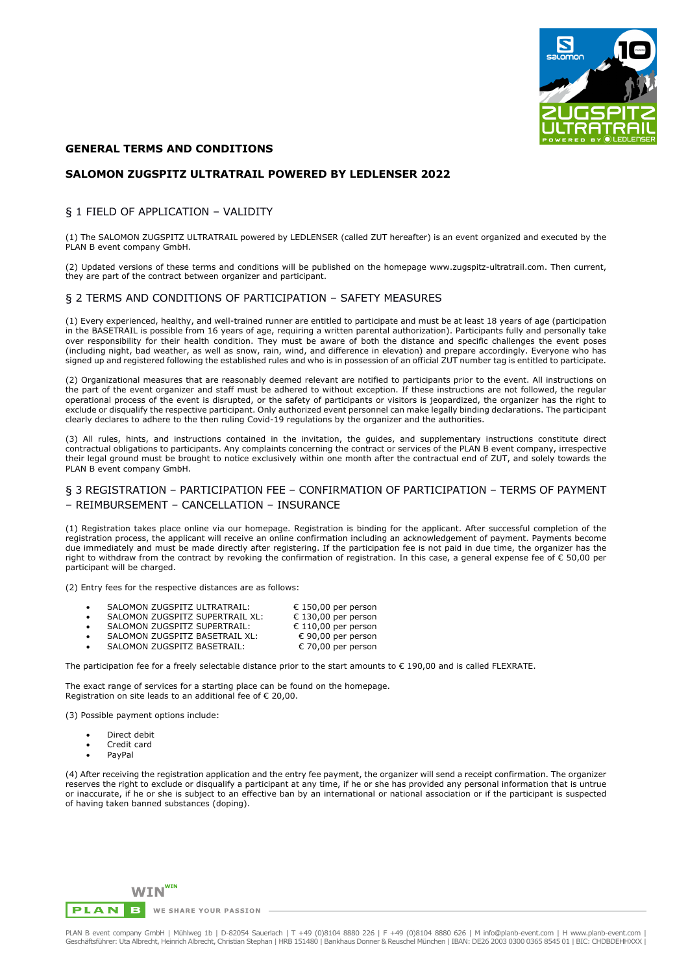

## **GENERAL TERMS AND CONDITIONS**

### **SALOMON ZUGSPITZ ULTRATRAIL POWERED BY LEDLENSER 2022**

## § 1 FIELD OF APPLICATION – VALIDITY

(1) The SALOMON ZUGSPITZ ULTRATRAIL powered by LEDLENSER (called ZUT hereafter) is an event organized and executed by the PLAN B event company GmbH.

(2) Updated versions of these terms and conditions will be published on the homepage www.zugspitz-ultratrail.com. Then current, they are part of the contract between organizer and participant.

### § 2 TERMS AND CONDITIONS OF PARTICIPATION – SAFETY MEASURES

(1) Every experienced, healthy, and well-trained runner are entitled to participate and must be at least 18 years of age (participation in the BASETRAIL is possible from 16 years of age, requiring a written parental authorization). Participants fully and personally take over responsibility for their health condition. They must be aware of both the distance and specific challenges the event poses (including night, bad weather, as well as snow, rain, wind, and difference in elevation) and prepare accordingly. Everyone who has signed up and registered following the established rules and who is in possession of an official ZUT number tag is entitled to participate.

(2) Organizational measures that are reasonably deemed relevant are notified to participants prior to the event. All instructions on the part of the event organizer and staff must be adhered to without exception. If these instructions are not followed, the regular operational process of the event is disrupted, or the safety of participants or visitors is jeopardized, the organizer has the right to exclude or disqualify the respective participant. Only authorized event personnel can make legally binding declarations. The participant clearly declares to adhere to the then ruling Covid-19 regulations by the organizer and the authorities.

(3) All rules, hints, and instructions contained in the invitation, the guides, and supplementary instructions constitute direct contractual obligations to participants. Any complaints concerning the contract or services of the PLAN B event company, irrespective their legal ground must be brought to notice exclusively within one month after the contractual end of ZUT, and solely towards the PLAN B event company GmbH.

## § 3 REGISTRATION – PARTICIPATION FEE – CONFIRMATION OF PARTICIPATION – TERMS OF PAYMENT – REIMBURSEMENT – CANCELLATION – INSURANCE

(1) Registration takes place online via our homepage. Registration is binding for the applicant. After successful completion of the registration process, the applicant will receive an online confirmation including an acknowledgement of payment. Payments become due immediately and must be made directly after registering. If the participation fee is not paid in due time, the organizer has the right to withdraw from the contract by revoking the confirmation of registration. In this case, a general expense fee of € 50,00 per participant will be charged.

(2) Entry fees for the respective distances are as follows:

| SALOMON ZUGSPITZ ULTRATRAIL:    | € 150,00 per person |
|---------------------------------|---------------------|
| SALOMON ZUGSPITZ SUPERTRAIL XL: | € 130,00 per person |
| SALOMON ZUGSPITZ SUPERTRAIL:    | € 110,00 per person |
| SALOMON ZUGSPITZ BASETRAIL XL:  | € 90,00 per person  |
| SALOMON ZUGSPITZ BASETRAIL:     | € 70,00 per person  |

The participation fee for a freely selectable distance prior to the start amounts to  $\epsilon$  190,00 and is called FLEXRATE.

The exact range of services for a starting place can be found on the homepage. Registration on site leads to an additional fee of  $\epsilon$  20,00.

(3) Possible payment options include:

- Direct debit
- Credit card
- PayPal

(4) After receiving the registration application and the entry fee payment, the organizer will send a receipt confirmation. The organizer reserves the right to exclude or disqualify a participant at any time, if he or she has provided any personal information that is untrue or inaccurate, if he or she is subject to an effective ban by an international or national association or if the participant is suspected of having taken banned substances (doping).

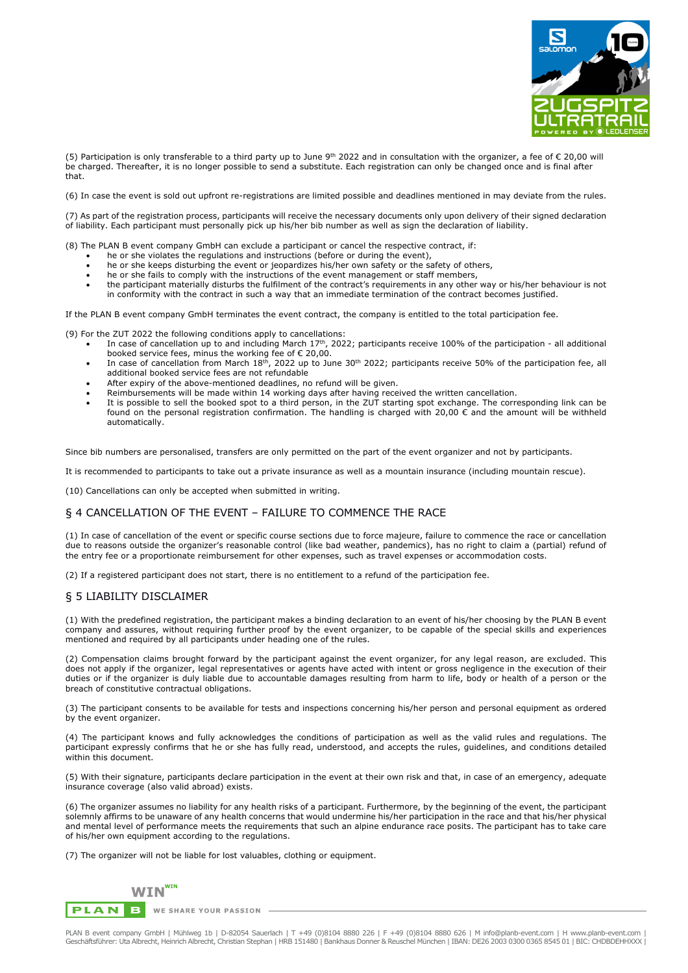

(5) Participation is only transferable to a third party up to June 9<sup>th</sup> 2022 and in consultation with the organizer, a fee of € 20,00 will be charged. Thereafter, it is no longer possible to send a substitute. Each registration can only be changed once and is final after that.

(6) In case the event is sold out upfront re-registrations are limited possible and deadlines mentioned in may deviate from the rules.

(7) As part of the registration process, participants will receive the necessary documents only upon delivery of their signed declaration of liability. Each participant must personally pick up his/her bib number as well as sign the declaration of liability.

(8) The PLAN B event company GmbH can exclude a participant or cancel the respective contract, if:

- he or she violates the regulations and instructions (before or during the event),
- he or she keeps disturbing the event or jeopardizes his/her own safety or the safety of others,
- he or she fails to comply with the instructions of the event management or staff members,
- the participant materially disturbs the fulfilment of the contract's requirements in any other way or his/her behaviour is not in conformity with the contract in such a way that an immediate termination of the contract becomes justified.

If the PLAN B event company GmbH terminates the event contract, the company is entitled to the total participation fee.

(9) For the ZUT 2022 the following conditions apply to cancellations:

- In case of cancellation up to and including March  $17th$ , 2022; participants receive 100% of the participation all additional booked service fees, minus the working fee of  $\epsilon$  20,00.
- In case of cancellation from March  $18<sup>th</sup>$ , 2022 up to June  $30<sup>th</sup>$  2022; participants receive 50% of the participation fee, all additional booked service fees are not refundable
- After expiry of the above-mentioned deadlines, no refund will be given.
- Reimbursements will be made within 14 working days after having received the written cancellation.
- It is possible to sell the booked spot to a third person, in the ZUT starting spot exchange. The corresponding link can be found on the personal registration confirmation. The handling is charged with 20,00 € and the amount will be withheld automatically.

Since bib numbers are personalised, transfers are only permitted on the part of the event organizer and not by participants.

It is recommended to participants to take out a private insurance as well as a mountain insurance (including mountain rescue).

(10) Cancellations can only be accepted when submitted in writing.

#### § 4 CANCELLATION OF THE EVENT – FAILURE TO COMMENCE THE RACE

(1) In case of cancellation of the event or specific course sections due to force majeure, failure to commence the race or cancellation due to reasons outside the organizer's reasonable control (like bad weather, pandemics), has no right to claim a (partial) refund of the entry fee or a proportionate reimbursement for other expenses, such as travel expenses or accommodation costs.

(2) If a registered participant does not start, there is no entitlement to a refund of the participation fee.

### § 5 LIABILITY DISCLAIMER

(1) With the predefined registration, the participant makes a binding declaration to an event of his/her choosing by the PLAN B event company and assures, without requiring further proof by the event organizer, to be capable of the special skills and experiences mentioned and required by all participants under heading one of the rules.

(2) Compensation claims brought forward by the participant against the event organizer, for any legal reason, are excluded. This does not apply if the organizer, legal representatives or agents have acted with intent or gross negligence in the execution of their duties or if the organizer is duly liable due to accountable damages resulting from harm to life, body or health of a person or the breach of constitutive contractual obligations.

(3) The participant consents to be available for tests and inspections concerning his/her person and personal equipment as ordered by the event organizer.

(4) The participant knows and fully acknowledges the conditions of participation as well as the valid rules and regulations. The participant expressly confirms that he or she has fully read, understood, and accepts the rules, guidelines, and conditions detailed within this document.

(5) With their signature, participants declare participation in the event at their own risk and that, in case of an emergency, adequate insurance coverage (also valid abroad) exists.

(6) The organizer assumes no liability for any health risks of a participant. Furthermore, by the beginning of the event, the participant solemnly affirms to be unaware of any health concerns that would undermine his/her participation in the race and that his/her physical and mental level of performance meets the requirements that such an alpine endurance race posits. The participant has to take care of his/her own equipment according to the regulations.

(7) The organizer will not be liable for lost valuables, clothing or equipment.